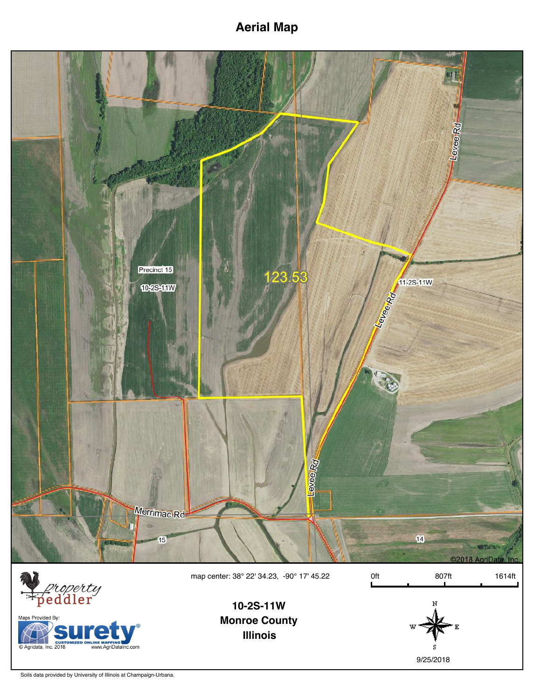**Aerial Map**



Maps Provided By: Custom Custom Custom Custom Custom Custom Custom Custom Custom Custom Custom Custom Custom Custom Custom Custom Custom Custom Custom Custom Custom Custom Custom Custom Custom Custom Custom Custom Custom Custom Custom Custo  $Inc.com$  **Monroe County Illinois 10-2S-11W**